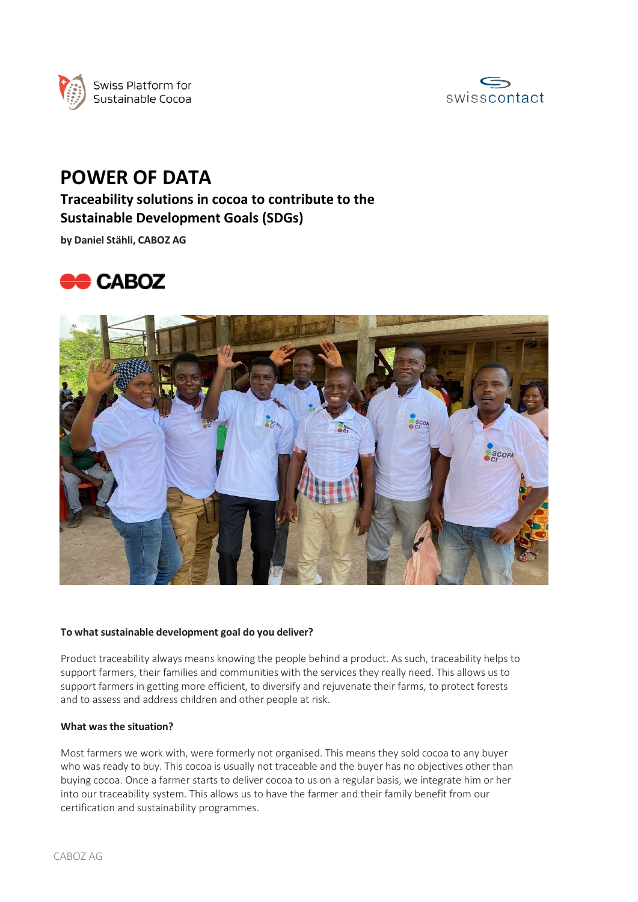



# **POWER OF DATA**

## **Traceability solutions in cocoa to contribute to the Sustainable Development Goals (SDGs)**

**by Daniel Stähli, CABOZ AG**





#### **To what sustainable development goal do you deliver?**

Product traceability always means knowing the people behind a product. As such, traceability helps to support farmers, their families and communities with the services they really need. This allows us to support farmers in getting more efficient, to diversify and rejuvenate their farms, to protect forests and to assess and address children and other people at risk.

#### **What was the situation?**

Most farmers we work with, were formerly not organised. This means they sold cocoa to any buyer who was ready to buy. This cocoa is usually not traceable and the buyer has no objectives other than buying cocoa. Once a farmer starts to deliver cocoa to us on a regular basis, we integrate him or her into our traceability system. This allows us to have the farmer and their family benefit from our certification and sustainability programmes.